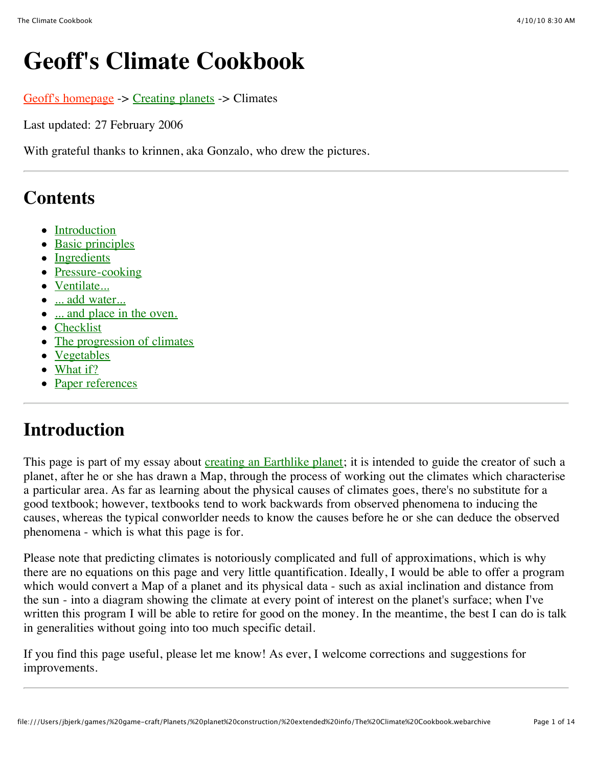# **Geoff's Climate Cookbook**

[Geoff's homepage](http://www.cix.co.uk/~morven/index.html) -> [Creating planets](http://www.cix.co.uk/~morven/worldkit/index.html) -> Climates

Last updated: 27 February 2006

With grateful thanks to krinnen, aka Gonzalo, who drew the pictures.

### **Contents**

- [Introduction](http://www.cix.co.uk/~morven/worldkit/climate.html#intro)
- [Basic principles](http://www.cix.co.uk/~morven/worldkit/climate.html#basic)
- [Ingredients](http://www.cix.co.uk/~morven/worldkit/climate.html#ing)
- [Pressure-cooking](http://www.cix.co.uk/~morven/worldkit/climate.html#pressure)
- [Ventilate...](http://www.cix.co.uk/~morven/worldkit/climate.html#wind)
- [... add water...](http://www.cix.co.uk/~morven/worldkit/climate.html#water)
- [... and place in the oven.](http://www.cix.co.uk/~morven/worldkit/climate.html#temp)
- [Checklist](http://www.cix.co.uk/~morven/worldkit/climate.html#check)
- [The progression of climates](http://www.cix.co.uk/~morven/worldkit/climate.html#prog)
- [Vegetables](http://www.cix.co.uk/~morven/worldkit/climate.html#veg)
- [What if?](http://www.cix.co.uk/~morven/worldkit/climate.html#whatif)
- [Paper references](http://www.cix.co.uk/~morven/worldkit/climate.html#ref)

## **Introduction**

This page is part of my essay about [creating an Earthlike planet;](http://www.cix.co.uk/~morven/worldkit/index.html) it is intended to guide the creator of such a planet, after he or she has drawn a Map, through the process of working out the climates which characterise a particular area. As far as learning about the physical causes of climates goes, there's no substitute for a good textbook; however, textbooks tend to work backwards from observed phenomena to inducing the causes, whereas the typical conworlder needs to know the causes before he or she can deduce the observed phenomena - which is what this page is for.

Please note that predicting climates is notoriously complicated and full of approximations, which is why there are no equations on this page and very little quantification. Ideally, I would be able to offer a program which would convert a Map of a planet and its physical data - such as axial inclination and distance from the sun - into a diagram showing the climate at every point of interest on the planet's surface; when I've written this program I will be able to retire for good on the money. In the meantime, the best I can do is talk in generalities without going into too much specific detail.

If you find this page useful, please let me know! As ever, I welcome corrections and suggestions for improvements.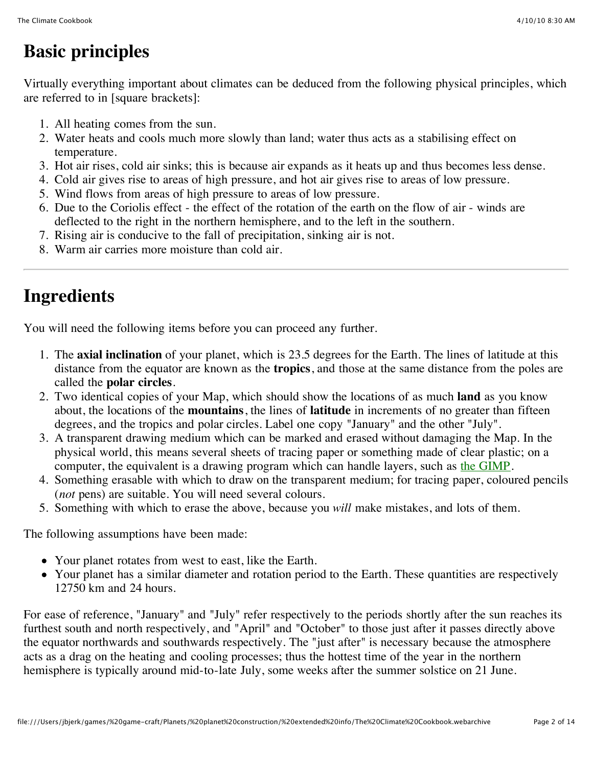## **Basic principles**

Virtually everything important about climates can be deduced from the following physical principles, which are referred to in [square brackets]:

- 1. All heating comes from the sun.
- 2. Water heats and cools much more slowly than land; water thus acts as a stabilising effect on temperature.
- 3. Hot air rises, cold air sinks; this is because air expands as it heats up and thus becomes less dense.
- 4. Cold air gives rise to areas of high pressure, and hot air gives rise to areas of low pressure.
- 5. Wind flows from areas of high pressure to areas of low pressure.
- 6. Due to the Coriolis effect the effect of the rotation of the earth on the flow of air winds are deflected to the right in the northern hemisphere, and to the left in the southern.
- 7. Rising air is conducive to the fall of precipitation, sinking air is not.
- 8. Warm air carries more moisture than cold air.

## **Ingredients**

You will need the following items before you can proceed any further.

- 1. The **axial inclination** of your planet, which is 23.5 degrees for the Earth. The lines of latitude at this distance from the equator are known as the **tropics**, and those at the same distance from the poles are called the **polar circles**.
- 2. Two identical copies of your Map, which should show the locations of as much **land** as you know about, the locations of the **mountains**, the lines of **latitude** in increments of no greater than fifteen degrees, and the tropics and polar circles. Label one copy "January" and the other "July".
- 3. A transparent drawing medium which can be marked and erased without damaging the Map. In the physical world, this means several sheets of tracing paper or something made of clear plastic; on a computer, the equivalent is a drawing program which can handle layers, such as [the GIMP.](http://www.gimp.org/)
- 4. Something erasable with which to draw on the transparent medium; for tracing paper, coloured pencils (*not* pens) are suitable. You will need several colours.
- 5. Something with which to erase the above, because you *will* make mistakes, and lots of them.

The following assumptions have been made:

- Your planet rotates from west to east, like the Earth.
- Your planet has a similar diameter and rotation period to the Earth. These quantities are respectively 12750 km and 24 hours.

For ease of reference, "January" and "July" refer respectively to the periods shortly after the sun reaches its furthest south and north respectively, and "April" and "October" to those just after it passes directly above the equator northwards and southwards respectively. The "just after" is necessary because the atmosphere acts as a drag on the heating and cooling processes; thus the hottest time of the year in the northern hemisphere is typically around mid-to-late July, some weeks after the summer solstice on 21 June.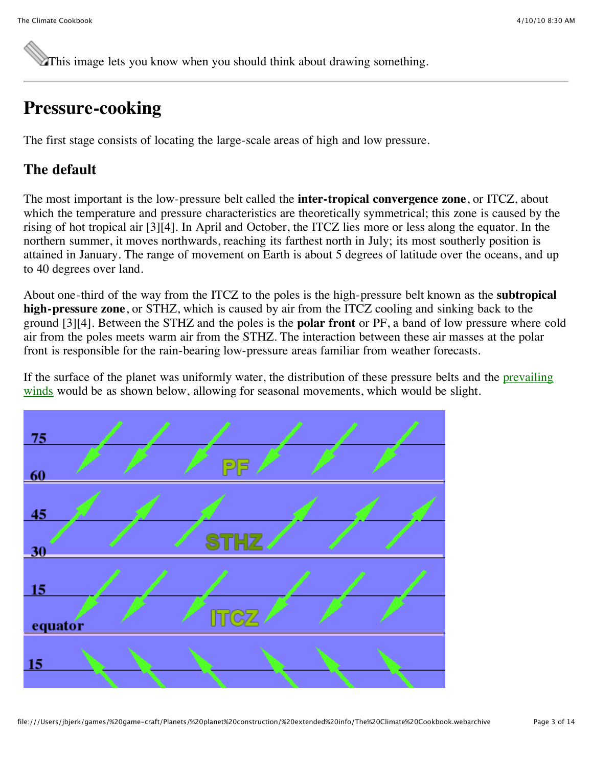This image lets you know when you should think about drawing something.

## **Pressure-cooking**

The first stage consists of locating the large-scale areas of high and low pressure.

#### **The default**

The most important is the low-pressure belt called the **inter-tropical convergence zone**, or ITCZ, about which the temperature and pressure characteristics are theoretically symmetrical; this zone is caused by the rising of hot tropical air [3][4]. In April and October, the ITCZ lies more or less along the equator. In the northern summer, it moves northwards, reaching its farthest north in July; its most southerly position is attained in January. The range of movement on Earth is about 5 degrees of latitude over the oceans, and up to 40 degrees over land.

About one-third of the way from the ITCZ to the poles is the high-pressure belt known as the **subtropical high-pressure zone**, or STHZ, which is caused by air from the ITCZ cooling and sinking back to the ground [3][4]. Between the STHZ and the poles is the **polar front** or PF, a band of low pressure where cold air from the poles meets warm air from the STHZ. The interaction between these air masses at the polar front is responsible for the rain-bearing low-pressure areas familiar from weather forecasts.

[If the surface of the planet was uniformly water, the distribution of these pressure belts and the prevailing](http://www.cix.co.uk/~morven/worldkit/climate.html#wind) winds would be as shown below, allowing for seasonal movements, which would be slight.

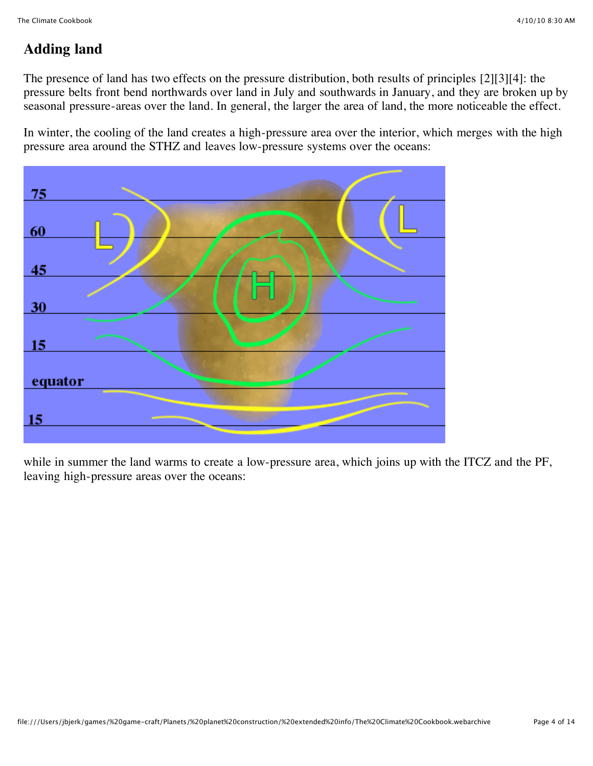### **Adding land**

The presence of land has two effects on the pressure distribution, both results of principles [2][3][4]: the pressure belts front bend northwards over land in July and southwards in January, and they are broken up by seasonal pressure-areas over the land. In general, the larger the area of land, the more noticeable the effect.

In winter, the cooling of the land creates a high-pressure area over the interior, which merges with the high pressure area around the STHZ and leaves low-pressure systems over the oceans:



while in summer the land warms to create a low-pressure area, which joins up with the ITCZ and the PF, leaving high-pressure areas over the oceans: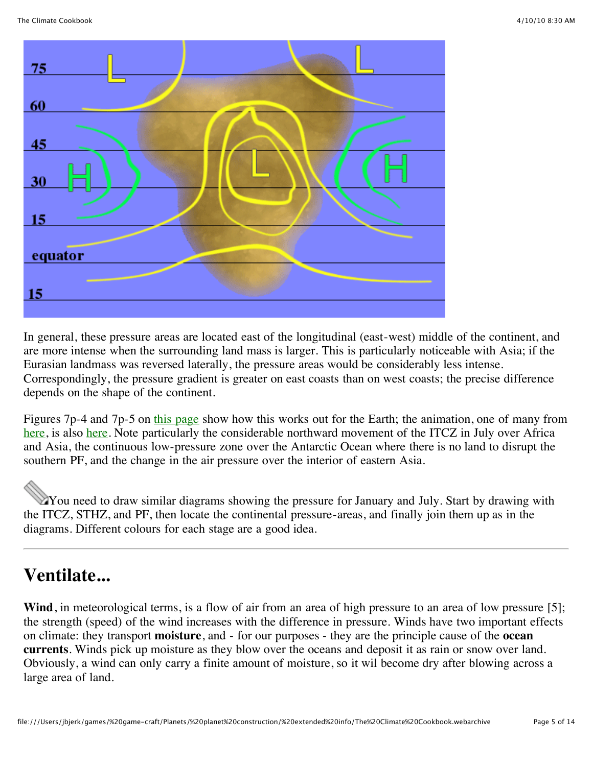

In general, these pressure areas are located east of the longitudinal (east-west) middle of the continent, and are more intense when the surrounding land mass is larger. This is particularly noticeable with Asia; if the Eurasian landmass was reversed laterally, the pressure areas would be considerably less intense. Correspondingly, the pressure gradient is greater on east coasts than on west coasts; the precise difference depends on the shape of the continent.

Figures 7p-4 and 7p-5 on [this page](http://www.physicalgeography.net/fundamentals/7p.html) show how this works out for the Earth; the animation, one of many from [here,](http://geography.uoregon.edu/envchange/clim_animations/) is also [here.](http://geography.uoregon.edu/envchange/clim_animations/gifs/mslpwinds_web.gif) Note particularly the considerable northward movement of the ITCZ in July over Africa and Asia, the continuous low-pressure zone over the Antarctic Ocean where there is no land to disrupt the southern PF, and the change in the air pressure over the interior of eastern Asia.

You need to draw similar diagrams showing the pressure for January and July. Start by drawing with the ITCZ, STHZ, and PF, then locate the continental pressure-areas, and finally join them up as in the diagrams. Different colours for each stage are a good idea.

## **Ventilate...**

Wind, in meteorological terms, is a flow of air from an area of high pressure to an area of low pressure [5]; the strength (speed) of the wind increases with the difference in pressure. Winds have two important effects on climate: they transport **moisture**, and - for our purposes - they are the principle cause of the **ocean currents**. Winds pick up moisture as they blow over the oceans and deposit it as rain or snow over land. Obviously, a wind can only carry a finite amount of moisture, so it wil become dry after blowing across a large area of land.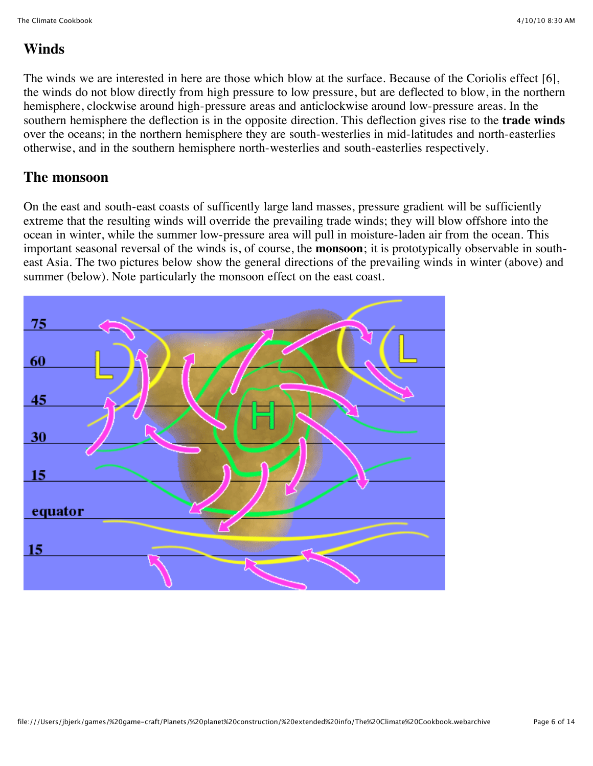#### **Winds**

The winds we are interested in here are those which blow at the surface. Because of the Coriolis effect [6], the winds do not blow directly from high pressure to low pressure, but are deflected to blow, in the northern hemisphere, clockwise around high-pressure areas and anticlockwise around low-pressure areas. In the southern hemisphere the deflection is in the opposite direction. This deflection gives rise to the **trade winds** over the oceans; in the northern hemisphere they are south-westerlies in mid-latitudes and north-easterlies otherwise, and in the southern hemisphere north-westerlies and south-easterlies respectively.

#### **The monsoon**

On the east and south-east coasts of sufficently large land masses, pressure gradient will be sufficiently extreme that the resulting winds will override the prevailing trade winds; they will blow offshore into the ocean in winter, while the summer low-pressure area will pull in moisture-laden air from the ocean. This important seasonal reversal of the winds is, of course, the **monsoon**; it is prototypically observable in southeast Asia. The two pictures below show the general directions of the prevailing winds in winter (above) and summer (below). Note particularly the monsoon effect on the east coast.

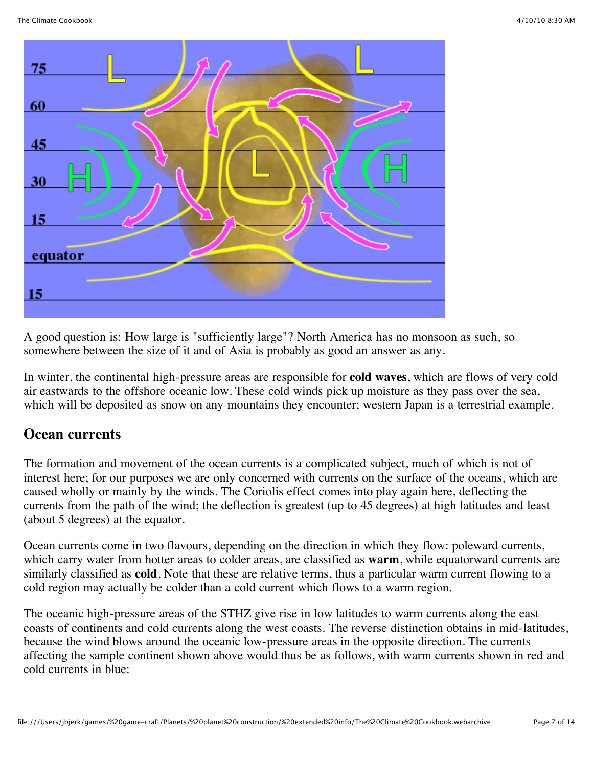

A good question is: How large is "sufficiently large"? North America has no monsoon as such, so somewhere between the size of it and of Asia is probably as good an answer as any.

In winter, the continental high-pressure areas are responsible for **cold waves**, which are flows of very cold air eastwards to the offshore oceanic low. These cold winds pick up moisture as they pass over the sea, which will be deposited as snow on any mountains they encounter; western Japan is a terrestrial example.

#### **Ocean currents**

The formation and movement of the ocean currents is a complicated subject, much of which is not of interest here; for our purposes we are only concerned with currents on the surface of the oceans, which are caused wholly or mainly by the winds. The Coriolis effect comes into play again here, deflecting the currents from the path of the wind; the deflection is greatest (up to 45 degrees) at high latitudes and least (about 5 degrees) at the equator.

Ocean currents come in two flavours, depending on the direction in which they flow: poleward currents, which carry water from hotter areas to colder areas, are classified as **warm**, while equatorward currents are similarly classified as **cold**. Note that these are relative terms, thus a particular warm current flowing to a cold region may actually be colder than a cold current which flows to a warm region.

The oceanic high-pressure areas of the STHZ give rise in low latitudes to warm currents along the east coasts of continents and cold currents along the west coasts. The reverse distinction obtains in mid-latitudes, because the wind blows around the oceanic low-pressure areas in the opposite direction. The currents affecting the sample continent shown above would thus be as follows, with warm currents shown in red and cold currents in blue: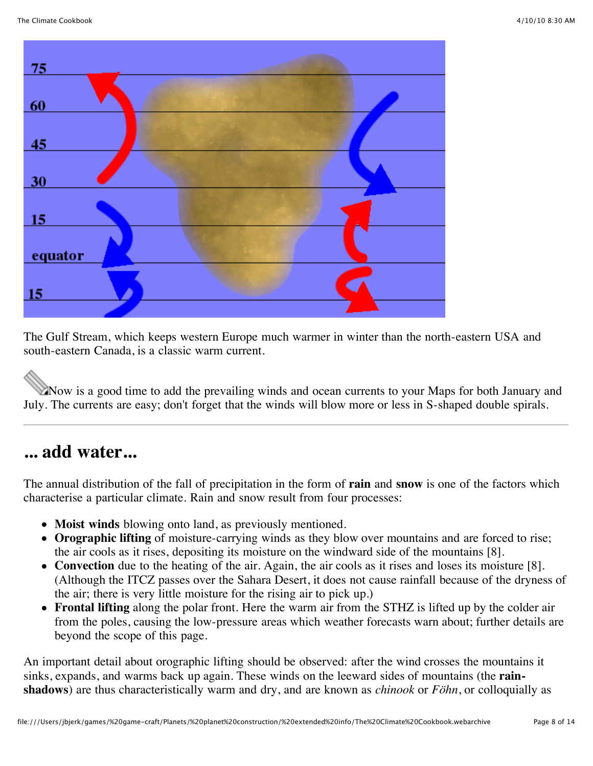

The Gulf Stream, which keeps western Europe much warmer in winter than the north-eastern USA and south-eastern Canada, is a classic warm current.

Now is a good time to add the prevailing winds and ocean currents to your Maps for both January and July. The currents are easy; don't forget that the winds will blow more or less in S-shaped double spirals.

### **... add water...**

The annual distribution of the fall of precipitation in the form of **rain** and **snow** is one of the factors which characterise a particular climate. Rain and snow result from four processes:

- **Moist winds** blowing onto land, as previously mentioned.
- **Orographic lifting** of moisture-carrying winds as they blow over mountains and are forced to rise; the air cools as it rises, depositing its moisture on the windward side of the mountains [8].
- **Convection** due to the heating of the air. Again, the air cools as it rises and loses its moisture [8]. (Although the ITCZ passes over the Sahara Desert, it does not cause rainfall because of the dryness of the air; there is very little moisture for the rising air to pick up.)
- **Frontal lifting** along the polar front. Here the warm air from the STHZ is lifted up by the colder air from the poles, causing the low-pressure areas which weather forecasts warn about; further details are beyond the scope of this page.

An important detail about orographic lifting should be observed: after the wind crosses the mountains it sinks, expands, and warms back up again. These winds on the leeward sides of mountains (the **rainshadows**) are thus characteristically warm and dry, and are known as *chinook* or *Föhn*, or colloquially as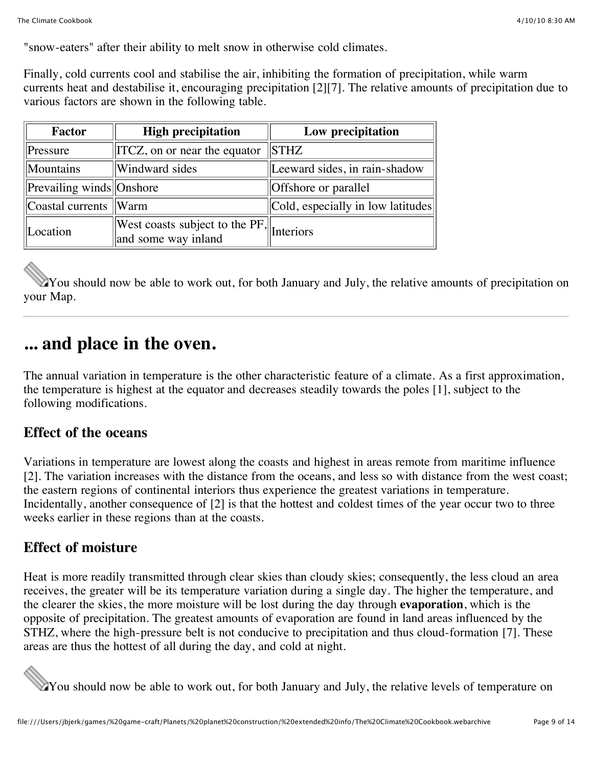"snow-eaters" after their ability to melt snow in otherwise cold climates.

Finally, cold currents cool and stabilise the air, inhibiting the formation of precipitation, while warm currents heat and destabilise it, encouraging precipitation [2][7]. The relative amounts of precipitation due to various factors are shown in the following table.

| <b>Factor</b>                                      | <b>High precipitation</b>                                                      | Low precipitation                 |  |
|----------------------------------------------------|--------------------------------------------------------------------------------|-----------------------------------|--|
| $\ $ Pressure                                      | $\parallel$ ITCZ, on or near the equator                                       | $\parallel$ STHZ                  |  |
| Mountains                                          | Windward sides                                                                 | Leeward sides, in rain-shadow     |  |
| $\left\Vert$ Prevailing winds $\left\Vert$ Onshore |                                                                                | Offshore or parallel              |  |
| $\vert$ Coastal currents $\vert$ Warm              |                                                                                | Cold, especially in low latitudes |  |
| Location                                           | $\sqrt{\text{West coasts subject to the PF}}$ Interiors<br>and some way inland |                                   |  |

You should now be able to work out, for both January and July, the relative amounts of precipitation on your Map.

### **... and place in the oven.**

The annual variation in temperature is the other characteristic feature of a climate. As a first approximation, the temperature is highest at the equator and decreases steadily towards the poles [1], subject to the following modifications.

#### **Effect of the oceans**

Variations in temperature are lowest along the coasts and highest in areas remote from maritime influence [2]. The variation increases with the distance from the oceans, and less so with distance from the west coast; the eastern regions of continental interiors thus experience the greatest variations in temperature. Incidentally, another consequence of [2] is that the hottest and coldest times of the year occur two to three weeks earlier in these regions than at the coasts.

#### **Effect of moisture**

Heat is more readily transmitted through clear skies than cloudy skies; consequently, the less cloud an area receives, the greater will be its temperature variation during a single day. The higher the temperature, and the clearer the skies, the more moisture will be lost during the day through **evaporation**, which is the opposite of precipitation. The greatest amounts of evaporation are found in land areas influenced by the STHZ, where the high-pressure belt is not conducive to precipitation and thus cloud-formation [7]. These areas are thus the hottest of all during the day, and cold at night.



You should now be able to work out, for both January and July, the relative levels of temperature on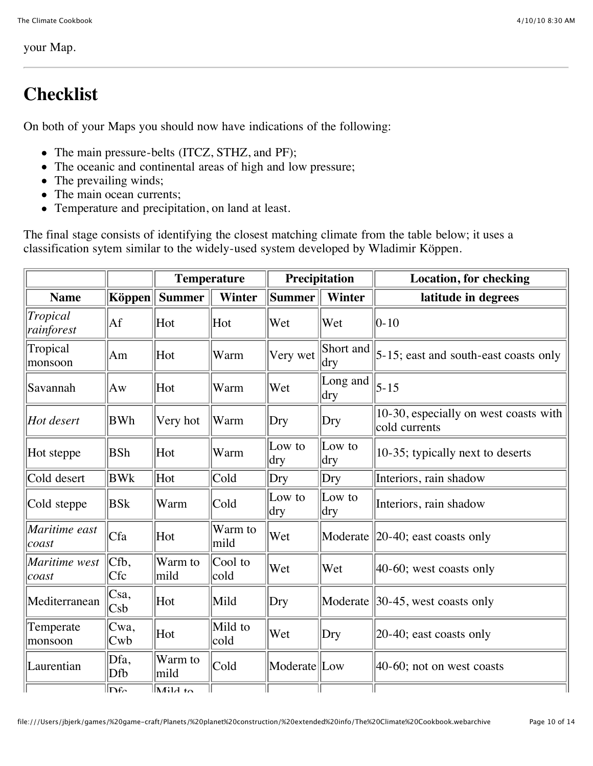#### your Map.

## **Checklist**

On both of your Maps you should now have indications of the following:

- The main pressure-belts (ITCZ, STHZ, and PF);
- The oceanic and continental areas of high and low pressure;
- The prevailing winds;
- The main ocean currents;
- Temperature and precipitation, on land at least.

The final stage consists of identifying the closest matching climate from the table below; it uses a classification sytem similar to the widely-used system developed by Wladimir Köppen.

|                         |                               | <b>Temperature</b>             |                 | Precipitation  |                        | <b>Location, for checking</b>                          |
|-------------------------|-------------------------------|--------------------------------|-----------------|----------------|------------------------|--------------------------------------------------------|
| <b>Name</b>             | $\mathbf K$ öppen $\parallel$ | <b>Summer</b>                  | <b>Winter</b>   | <b>Summer</b>  | <b>Winter</b>          | latitude in degrees                                    |
| Tropical<br>rainforest  | Af                            | Hot                            | Hot             | Wet            | Wet                    | $ 0-10$                                                |
| Tropical<br>monsoon     | Am                            | Hot                            | Warm            | Very wet       | Short and<br>dry       | $ 5-15$ ; east and south-east coasts only              |
| Savannah                | Aw                            | Hot                            | Warm            | Wet            | Long and<br>$\rm{dry}$ | $ 5 - 15 $                                             |
| Hot desert              | <b>BWh</b>                    | Very hot                       | Warm            | Dry            | Dry                    | 10-30, especially on west coasts with<br>cold currents |
| Hot steppe              | <b>BSh</b>                    | Hot                            | Warm            | Low to<br>dry  | Low to<br>dry          | 10-35; typically next to deserts                       |
| Cold desert             | <b>BWk</b>                    | Hot                            | Cold            | Dry            | Dry                    | Interiors, rain shadow                                 |
| Cold steppe             | <b>BS</b> k                   | Warm                           | Cold            | Low to<br> dry | Low to<br>dry          | Interiors, rain shadow                                 |
| Maritime east<br> cos   | Cfa                           | Hot                            | Warm to<br>mild | Wet            |                        | Moderate 20-40; east coasts only                       |
| Maritime west<br> coast | Cfb,<br>Cfc                   | Warm to<br>mild                | Cool to<br>cold | Wet            | Wet                    | $ 40-60;$ west coasts only                             |
| Mediterranean           | Csa,<br>Csb                   | Hot                            | Mild            | Dry            |                        | Moderate $\parallel$ 30-45, west coasts only           |
| Temperate<br>monsoon    | Cwa,<br>Cwb                   | Hot                            | Mild to<br>cold | Wet            | Drv                    | $ 20-40;$ east coasts only                             |
| Laurentian              | Dfa,<br>Dfb                   | Warm to<br>mild                | Cold            | Moderate Low   |                        | $ 40-60$ ; not on west coasts                          |
|                         | $\ln_{\alpha}$                | $\overline{\mathbf{h}}$ 414 to |                 |                |                        |                                                        |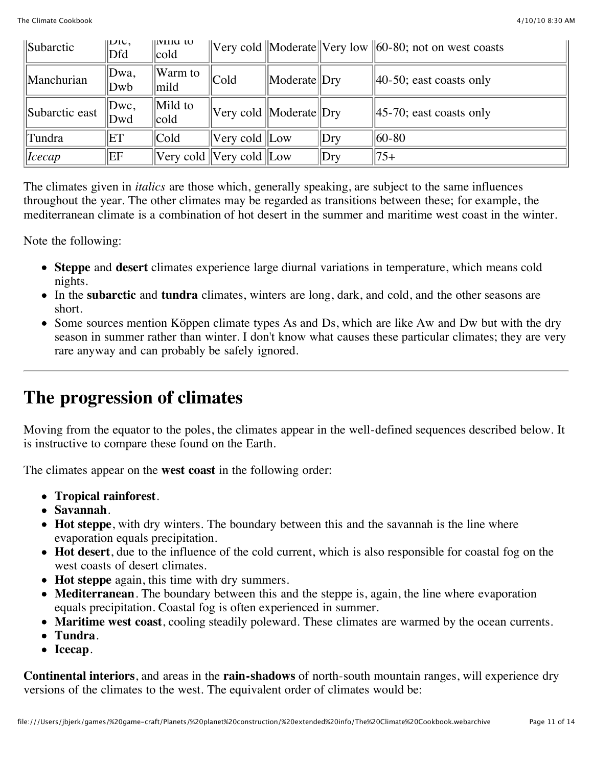| Subarctic      | LUU,<br>Dfd | IVIIIU W<br> cold                                                           |                                    |              |     | $\vert$ Very cold $\vert$ Moderate $\vert$ Very low $\vert$ 60-80; not on west coasts |
|----------------|-------------|-----------------------------------------------------------------------------|------------------------------------|--------------|-----|---------------------------------------------------------------------------------------|
| Manchurian     | Dwa,<br>Dwb | Warm to<br> mild                                                            | Cold                               | Moderate Dry |     | $  40-50$ ; east coasts only                                                          |
| Subarctic east | Dwc,<br>Dwd | $\parallel$ Mild to<br> cold                                                | $ V$ ery cold $ M$ oderate $ Dry $ |              |     | $  45-70$ ; east coasts only                                                          |
| Tundra         | ET          | $ $ Cold                                                                    | Very cold   Low                    |              | Drv | $ 60-80 $                                                                             |
| Icecap         | EF          | $\sqrt{\text{V}}$ very cold $\sqrt{\text{V}}$ very cold $\sqrt{\text{Low}}$ |                                    |              | Dry | 175+                                                                                  |

The climates given in *italics* are those which, generally speaking, are subject to the same influences throughout the year. The other climates may be regarded as transitions between these; for example, the mediterranean climate is a combination of hot desert in the summer and maritime west coast in the winter.

Note the following:

- **Steppe** and **desert** climates experience large diurnal variations in temperature, which means cold nights.
- In the **subarctic** and **tundra** climates, winters are long, dark, and cold, and the other seasons are short.
- Some sources mention Köppen climate types As and Ds, which are like Aw and Dw but with the dry season in summer rather than winter. I don't know what causes these particular climates; they are very rare anyway and can probably be safely ignored.

### **The progression of climates**

Moving from the equator to the poles, the climates appear in the well-defined sequences described below. It is instructive to compare these found on the Earth.

The climates appear on the **west coast** in the following order:

- **Tropical rainforest**.
- **Savannah**.
- **Hot steppe**, with dry winters. The boundary between this and the savannah is the line where evaporation equals precipitation.
- **Hot desert**, due to the influence of the cold current, which is also responsible for coastal fog on the west coasts of desert climates.
- **Hot steppe** again, this time with dry summers.
- **Mediterranean**. The boundary between this and the steppe is, again, the line where evaporation equals precipitation. Coastal fog is often experienced in summer.
- **Maritime west coast**, cooling steadily poleward. These climates are warmed by the ocean currents.
- **Tundra**.
- **Icecap**.

**Continental interiors**, and areas in the **rain-shadows** of north-south mountain ranges, will experience dry versions of the climates to the west. The equivalent order of climates would be: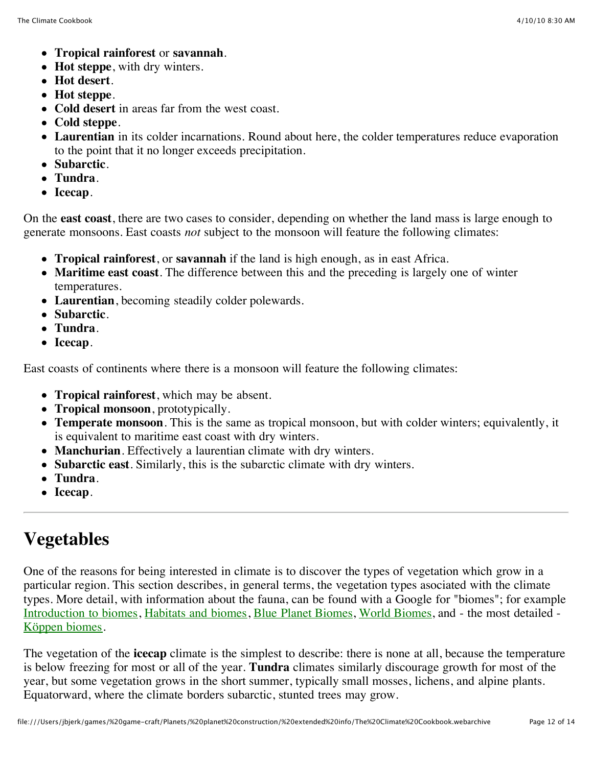- **Tropical rainforest** or **savannah**.
- **Hot steppe**, with dry winters.
- **Hot desert**.
- **Hot steppe**.
- **Cold desert** in areas far from the west coast.
- **Cold steppe**.
- **Laurentian** in its colder incarnations. Round about here, the colder temperatures reduce evaporation to the point that it no longer exceeds precipitation.
- **Subarctic**.
- **Tundra**.
- **Icecap**.

On the **east coast**, there are two cases to consider, depending on whether the land mass is large enough to generate monsoons. East coasts *not* subject to the monsoon will feature the following climates:

- **Tropical rainforest**, or **savannah** if the land is high enough, as in east Africa.
- **Maritime east coast**. The difference between this and the preceding is largely one of winter temperatures.
- **Laurentian**, becoming steadily colder polewards.
- **Subarctic**.
- **Tundra**.
- **Icecap**.

East coasts of continents where there is a monsoon will feature the following climates:

- **Tropical rainforest**, which may be absent.
- **Tropical monsoon**, prototypically.
- **Temperate monsoon**. This is the same as tropical monsoon, but with colder winters; equivalently, it is equivalent to maritime east coast with dry winters.
- **Manchurian**. Effectively a laurentian climate with dry winters.
- **Subarctic east**. Similarly, this is the subarctic climate with dry winters.
- **Tundra**.
- **Icecap**.

## **Vegetables**

One of the reasons for being interested in climate is to discover the types of vegetation which grow in a particular region. This section describes, in general terms, the vegetation types asociated with the climate types. More detail, with information about the fauna, can be found with a Google for "biomes"; for example [Introduction to biomes,](http://www.radford.edu/~swoodwar/CLASSES/GEOG235/biomes/intro.html) [Habitats and biomes,](http://library.thinkquest.org/11922/habitats/habitats.htm) [Blue Planet Biomes](http://www.blueplanetbiomes.org/world_biomes.htm), [World Biomes](http://www2.ups.edu/biology/museum/worldbiomes.html), and - the most detailed - [Köppen biomes](http://www.tesarta.com/www/resources/library/biomes.html).

The vegetation of the **icecap** climate is the simplest to describe: there is none at all, because the temperature is below freezing for most or all of the year. **Tundra** climates similarly discourage growth for most of the year, but some vegetation grows in the short summer, typically small mosses, lichens, and alpine plants. Equatorward, where the climate borders subarctic, stunted trees may grow.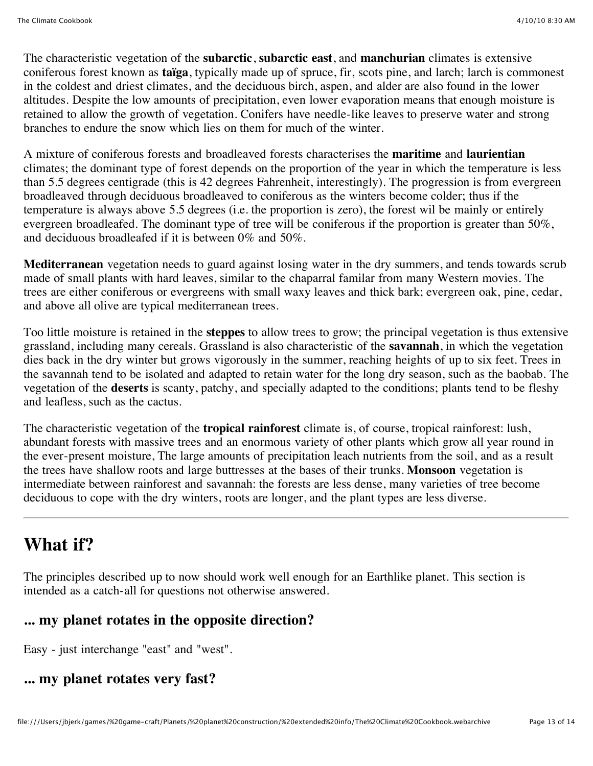The characteristic vegetation of the **subarctic**, **subarctic east**, and **manchurian** climates is extensive coniferous forest known as **taïga**, typically made up of spruce, fir, scots pine, and larch; larch is commonest in the coldest and driest climates, and the deciduous birch, aspen, and alder are also found in the lower altitudes. Despite the low amounts of precipitation, even lower evaporation means that enough moisture is retained to allow the growth of vegetation. Conifers have needle-like leaves to preserve water and strong branches to endure the snow which lies on them for much of the winter.

A mixture of coniferous forests and broadleaved forests characterises the **maritime** and **laurientian** climates; the dominant type of forest depends on the proportion of the year in which the temperature is less than 5.5 degrees centigrade (this is 42 degrees Fahrenheit, interestingly). The progression is from evergreen broadleaved through deciduous broadleaved to coniferous as the winters become colder; thus if the temperature is always above 5.5 degrees (i.e. the proportion is zero), the forest wil be mainly or entirely evergreen broadleafed. The dominant type of tree will be coniferous if the proportion is greater than 50%, and deciduous broadleafed if it is between 0% and 50%.

**Mediterranean** vegetation needs to guard against losing water in the dry summers, and tends towards scrub made of small plants with hard leaves, similar to the chaparral familar from many Western movies. The trees are either coniferous or evergreens with small waxy leaves and thick bark; evergreen oak, pine, cedar, and above all olive are typical mediterranean trees.

Too little moisture is retained in the **steppes** to allow trees to grow; the principal vegetation is thus extensive grassland, including many cereals. Grassland is also characteristic of the **savannah**, in which the vegetation dies back in the dry winter but grows vigorously in the summer, reaching heights of up to six feet. Trees in the savannah tend to be isolated and adapted to retain water for the long dry season, such as the baobab. The vegetation of the **deserts** is scanty, patchy, and specially adapted to the conditions; plants tend to be fleshy and leafless, such as the cactus.

The characteristic vegetation of the **tropical rainforest** climate is, of course, tropical rainforest: lush, abundant forests with massive trees and an enormous variety of other plants which grow all year round in the ever-present moisture, The large amounts of precipitation leach nutrients from the soil, and as a result the trees have shallow roots and large buttresses at the bases of their trunks. **Monsoon** vegetation is intermediate between rainforest and savannah: the forests are less dense, many varieties of tree become deciduous to cope with the dry winters, roots are longer, and the plant types are less diverse.

### **What if?**

The principles described up to now should work well enough for an Earthlike planet. This section is intended as a catch-all for questions not otherwise answered.

#### **... my planet rotates in the opposite direction?**

Easy - just interchange "east" and "west".

#### **... my planet rotates very fast?**